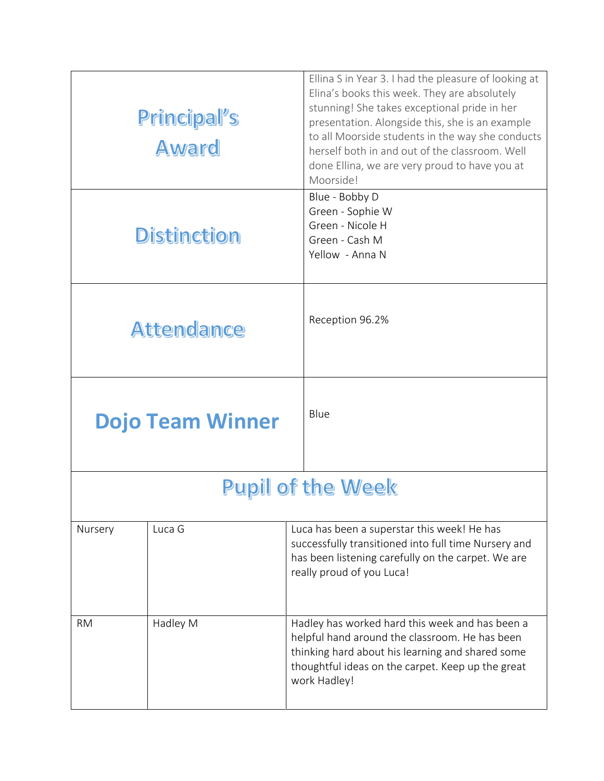| Principal's<br><b>Award</b> |          | Ellina S in Year 3. I had the pleasure of looking at<br>Elina's books this week. They are absolutely<br>stunning! She takes exceptional pride in her<br>presentation. Alongside this, she is an example<br>to all Moorside students in the way she conducts<br>herself both in and out of the classroom. Well<br>done Ellina, we are very proud to have you at<br>Moorside! |
|-----------------------------|----------|-----------------------------------------------------------------------------------------------------------------------------------------------------------------------------------------------------------------------------------------------------------------------------------------------------------------------------------------------------------------------------|
| <b>Distinction</b>          |          | Blue - Bobby D<br>Green - Sophie W<br>Green - Nicole H<br>Green - Cash M<br>Yellow - Anna N                                                                                                                                                                                                                                                                                 |
| <b>Attendance</b>           |          | Reception 96.2%                                                                                                                                                                                                                                                                                                                                                             |
| <b>Dojo Team Winner</b>     |          | Blue                                                                                                                                                                                                                                                                                                                                                                        |
| <b>Pupil of the Week</b>    |          |                                                                                                                                                                                                                                                                                                                                                                             |
| Nursery                     | Luca G   | Luca has been a superstar this week! He has<br>successfully transitioned into full time Nursery and<br>has been listening carefully on the carpet. We are<br>really proud of you Luca!                                                                                                                                                                                      |
| <b>RM</b>                   | Hadley M | Hadley has worked hard this week and has been a<br>helpful hand around the classroom. He has been<br>thinking hard about his learning and shared some<br>thoughtful ideas on the carpet. Keep up the great<br>work Hadley!                                                                                                                                                  |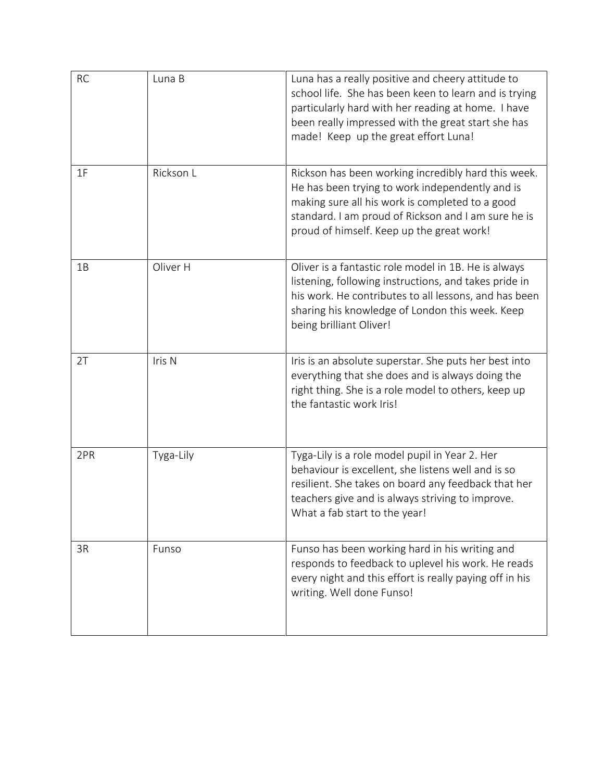| <b>RC</b> | Luna B    | Luna has a really positive and cheery attitude to<br>school life. She has been keen to learn and is trying<br>particularly hard with her reading at home. I have<br>been really impressed with the great start she has<br>made! Keep up the great effort Luna! |
|-----------|-----------|----------------------------------------------------------------------------------------------------------------------------------------------------------------------------------------------------------------------------------------------------------------|
| 1F        | Rickson L | Rickson has been working incredibly hard this week.<br>He has been trying to work independently and is<br>making sure all his work is completed to a good<br>standard. I am proud of Rickson and I am sure he is<br>proud of himself. Keep up the great work!  |
| 1B        | Oliver H  | Oliver is a fantastic role model in 1B. He is always<br>listening, following instructions, and takes pride in<br>his work. He contributes to all lessons, and has been<br>sharing his knowledge of London this week. Keep<br>being brilliant Oliver!           |
| 2T        | Iris N    | Iris is an absolute superstar. She puts her best into<br>everything that she does and is always doing the<br>right thing. She is a role model to others, keep up<br>the fantastic work Iris!                                                                   |
| 2PR       | Tyga-Lily | Tyga-Lily is a role model pupil in Year 2. Her<br>behaviour is excellent, she listens well and is so<br>resilient. She takes on board any feedback that her<br>teachers give and is always striving to improve.<br>What a fab start to the year!               |
| 3R        | Funso     | Funso has been working hard in his writing and<br>responds to feedback to uplevel his work. He reads<br>every night and this effort is really paying off in his<br>writing. Well done Funso!                                                                   |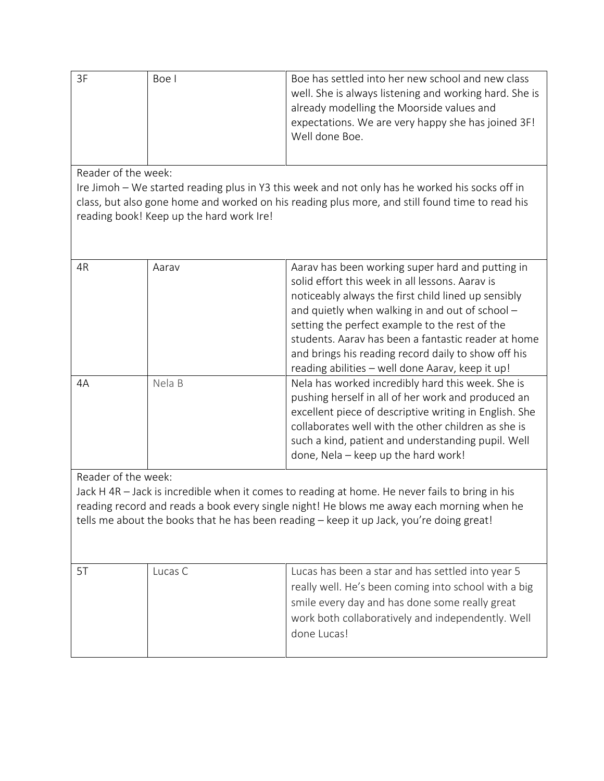| ЗF | Boe l | Boe has settled into her new school and new class      |
|----|-------|--------------------------------------------------------|
|    |       | well. She is always listening and working hard. She is |
|    |       | already modelling the Moorside values and              |
|    |       | expectations. We are very happy she has joined 3F!     |
|    |       | Well done Boe.                                         |
|    |       |                                                        |

Reader of the week:

Ire Jimoh – We started reading plus in Y3 this week and not only has he worked his socks off in class, but also gone home and worked on his reading plus more, and still found time to read his reading book! Keep up the hard work Ire!

| 4R | Aarav  | Aarav has been working super hard and putting in<br>solid effort this week in all lessons. Aaray is<br>noticeably always the first child lined up sensibly<br>and quietly when walking in and out of school -<br>setting the perfect example to the rest of the<br>students. Aaray has been a fantastic reader at home<br>and brings his reading record daily to show off his<br>reading abilities - well done Aarav, keep it up! |
|----|--------|-----------------------------------------------------------------------------------------------------------------------------------------------------------------------------------------------------------------------------------------------------------------------------------------------------------------------------------------------------------------------------------------------------------------------------------|
| 4A | Nela B | Nela has worked incredibly hard this week. She is<br>pushing herself in all of her work and produced an<br>excellent piece of descriptive writing in English. She<br>collaborates well with the other children as she is<br>such a kind, patient and understanding pupil. Well<br>done, Nela - keep up the hard work!                                                                                                             |

Reader of the week:

Jack H 4R – Jack is incredible when it comes to reading at home. He never fails to bring in his reading record and reads a book every single night! He blows me away each morning when he tells me about the books that he has been reading – keep it up Jack, you're doing great!

| Lucas C | Lucas has been a star and has settled into year 5    |
|---------|------------------------------------------------------|
|         | really well. He's been coming into school with a big |
|         | smile every day and has done some really great       |
|         | work both collaboratively and independently. Well    |
|         | done Lucas!                                          |
|         |                                                      |